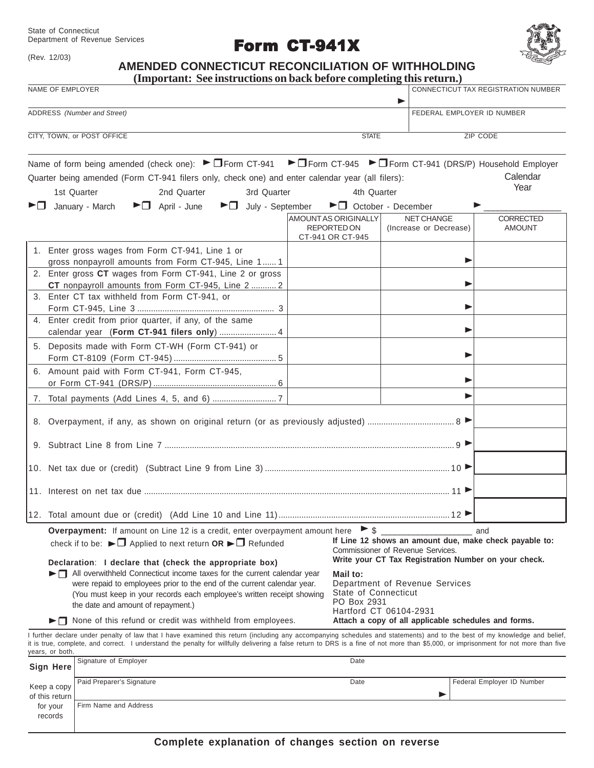State of Connecticut Department of Revenue Services

(Rev. 12/03)

records

Form CT-941X



# **AMENDED CONNECTICUT RECONCILIATION OF WITHHOLDING**

|                                                                                                                                                                                                                                                                                                                                                                                                                                                                                                                                                                                                                                                                                                                                                                                                                                                                                                                                                                                      | (Important: See instructions on back before completing this return.)                                                                                                                                                                                                                                                                                                                                                                                                                      |                                                                       |                                             |                                                                            |  |
|--------------------------------------------------------------------------------------------------------------------------------------------------------------------------------------------------------------------------------------------------------------------------------------------------------------------------------------------------------------------------------------------------------------------------------------------------------------------------------------------------------------------------------------------------------------------------------------------------------------------------------------------------------------------------------------------------------------------------------------------------------------------------------------------------------------------------------------------------------------------------------------------------------------------------------------------------------------------------------------|-------------------------------------------------------------------------------------------------------------------------------------------------------------------------------------------------------------------------------------------------------------------------------------------------------------------------------------------------------------------------------------------------------------------------------------------------------------------------------------------|-----------------------------------------------------------------------|---------------------------------------------|----------------------------------------------------------------------------|--|
| NAME OF EMPLOYER                                                                                                                                                                                                                                                                                                                                                                                                                                                                                                                                                                                                                                                                                                                                                                                                                                                                                                                                                                     |                                                                                                                                                                                                                                                                                                                                                                                                                                                                                           |                                                                       |                                             | CONNECTICUT TAX REGISTRATION NUMBER                                        |  |
| ADDRESS (Number and Street)                                                                                                                                                                                                                                                                                                                                                                                                                                                                                                                                                                                                                                                                                                                                                                                                                                                                                                                                                          |                                                                                                                                                                                                                                                                                                                                                                                                                                                                                           |                                                                       |                                             | FEDERAL EMPLOYER ID NUMBER                                                 |  |
| CITY, TOWN, or POST OFFICE<br><b>STATE</b>                                                                                                                                                                                                                                                                                                                                                                                                                                                                                                                                                                                                                                                                                                                                                                                                                                                                                                                                           |                                                                                                                                                                                                                                                                                                                                                                                                                                                                                           |                                                                       |                                             | ZIP CODE                                                                   |  |
| ▶□                                                                                                                                                                                                                                                                                                                                                                                                                                                                                                                                                                                                                                                                                                                                                                                                                                                                                                                                                                                   | Name of form being amended (check one): $\blacktriangleright$ $\Box$ Form CT-941<br>Quarter being amended (Form CT-941 filers only, check one) and enter calendar year (all filers):<br>3rd Quarter<br>1st Quarter<br>2nd Quarter<br>January - March<br>$\blacktriangleright$ $\Box$ April - June                                                                                                                                                                                         | 4th Quarter<br>▶□ July - September ▶□ October - December              |                                             | ▶ Form CT-945 ▶ Form CT-941 (DRS/P) Household Employer<br>Calendar<br>Year |  |
|                                                                                                                                                                                                                                                                                                                                                                                                                                                                                                                                                                                                                                                                                                                                                                                                                                                                                                                                                                                      |                                                                                                                                                                                                                                                                                                                                                                                                                                                                                           | <b>AMOUNT AS ORIGINALLY</b><br><b>REPORTED ON</b><br>CT-941 OR CT-945 | <b>NET CHANGE</b><br>(Increase or Decrease) | CORRECTED<br><b>AMOUNT</b>                                                 |  |
|                                                                                                                                                                                                                                                                                                                                                                                                                                                                                                                                                                                                                                                                                                                                                                                                                                                                                                                                                                                      | 1. Enter gross wages from Form CT-941, Line 1 or<br>gross nonpayroll amounts from Form CT-945, Line 1 1<br>2. Enter gross CT wages from Form CT-941, Line 2 or gross<br>CT nonpayroll amounts from Form CT-945, Line 2  2<br>3. Enter CT tax withheld from Form CT-941, or<br>4. Enter credit from prior quarter, if any, of the same<br>calendar year (Form CT-941 filers only)  4<br>5. Deposits made with Form CT-WH (Form CT-941) or<br>6. Amount paid with Form CT-941, Form CT-945, |                                                                       |                                             | ▶<br>Þ                                                                     |  |
|                                                                                                                                                                                                                                                                                                                                                                                                                                                                                                                                                                                                                                                                                                                                                                                                                                                                                                                                                                                      |                                                                                                                                                                                                                                                                                                                                                                                                                                                                                           |                                                                       |                                             |                                                                            |  |
|                                                                                                                                                                                                                                                                                                                                                                                                                                                                                                                                                                                                                                                                                                                                                                                                                                                                                                                                                                                      |                                                                                                                                                                                                                                                                                                                                                                                                                                                                                           |                                                                       |                                             |                                                                            |  |
|                                                                                                                                                                                                                                                                                                                                                                                                                                                                                                                                                                                                                                                                                                                                                                                                                                                                                                                                                                                      |                                                                                                                                                                                                                                                                                                                                                                                                                                                                                           |                                                                       |                                             |                                                                            |  |
|                                                                                                                                                                                                                                                                                                                                                                                                                                                                                                                                                                                                                                                                                                                                                                                                                                                                                                                                                                                      |                                                                                                                                                                                                                                                                                                                                                                                                                                                                                           |                                                                       |                                             |                                                                            |  |
| <b>Overpayment:</b> If amount on Line 12 is a credit, enter overpayment amount here $\triangleright$ \$<br>and<br>If Line 12 shows an amount due, make check payable to:<br>check if to be: $\blacktriangleright \Box$ Applied to next return OR $\blacktriangleright \Box$ Refunded<br>Commissioner of Revenue Services.<br>Write your CT Tax Registration Number on your check.<br>Declaration: I declare that (check the appropriate box)<br>All overwithheld Connecticut income taxes for the current calendar year<br>Mail to:<br>Department of Revenue Services<br>were repaid to employees prior to the end of the current calendar year.<br>State of Connecticut<br>(You must keep in your records each employee's written receipt showing<br>PO Box 2931<br>the date and amount of repayment.)<br>Hartford CT 06104-2931<br>$\blacktriangleright$ $\Box$ None of this refund or credit was withheld from employees.<br>Attach a copy of all applicable schedules and forms. |                                                                                                                                                                                                                                                                                                                                                                                                                                                                                           |                                                                       |                                             |                                                                            |  |
| years, or both.                                                                                                                                                                                                                                                                                                                                                                                                                                                                                                                                                                                                                                                                                                                                                                                                                                                                                                                                                                      | I further declare under penalty of law that I have examined this return (including any accompanying schedules and statements) and to the best of my knowledge and belief,<br>it is true, complete, and correct. I understand the penalty for willfully delivering a false return to DRS is a fine of not more than \$5,000, or imprisonment for not more than five                                                                                                                        |                                                                       |                                             |                                                                            |  |
| Sign Here                                                                                                                                                                                                                                                                                                                                                                                                                                                                                                                                                                                                                                                                                                                                                                                                                                                                                                                                                                            | Signature of Employer                                                                                                                                                                                                                                                                                                                                                                                                                                                                     | Date                                                                  |                                             |                                                                            |  |
| Keep a copy<br>of this return                                                                                                                                                                                                                                                                                                                                                                                                                                                                                                                                                                                                                                                                                                                                                                                                                                                                                                                                                        | Paid Preparer's Signature                                                                                                                                                                                                                                                                                                                                                                                                                                                                 | Date                                                                  | ▶                                           | Federal Employer ID Number                                                 |  |
| for your                                                                                                                                                                                                                                                                                                                                                                                                                                                                                                                                                                                                                                                                                                                                                                                                                                                                                                                                                                             | Firm Name and Address                                                                                                                                                                                                                                                                                                                                                                                                                                                                     |                                                                       |                                             |                                                                            |  |

**Complete explanation of changes section on reverse**